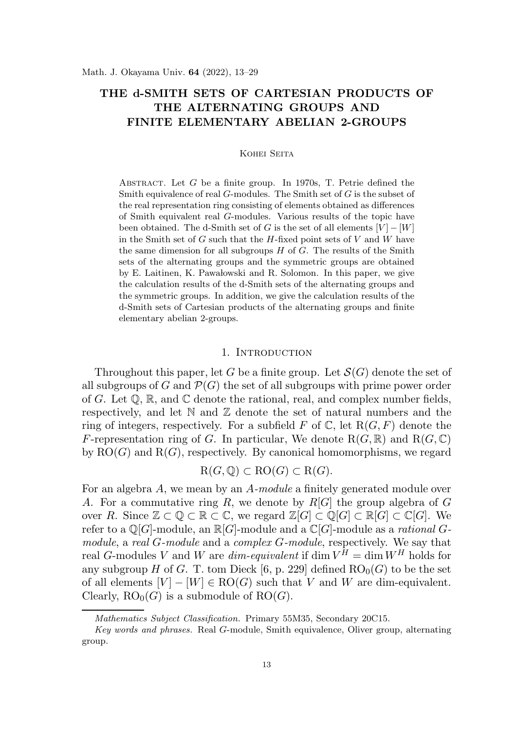# THE d-SMITH SETS OF CARTESIAN PRODUCTS OF THE ALTERNATING GROUPS AND FINITE ELEMENTARY ABELIAN 2-GROUPS

### Kohei Seita

ABSTRACT. Let  $G$  be a finite group. In 1970s, T. Petrie defined the Smith equivalence of real  $G$ -modules. The Smith set of  $G$  is the subset of the real representation ring consisting of elements obtained as differences of Smith equivalent real G-modules. Various results of the topic have been obtained. The d-Smith set of G is the set of all elements  $[V] - [W]$ in the Smith set of  $G$  such that the  $H$ -fixed point sets of  $V$  and  $W$  have the same dimension for all subgroups  $H$  of  $G$ . The results of the Smith sets of the alternating groups and the symmetric groups are obtained by E. Laitinen, K. Pawalowski and R. Solomon. In this paper, we give the calculation results of the d-Smith sets of the alternating groups and the symmetric groups. In addition, we give the calculation results of the d-Smith sets of Cartesian products of the alternating groups and finite elementary abelian 2-groups.

### 1. Introduction

Throughout this paper, let G be a finite group. Let  $\mathcal{S}(G)$  denote the set of all subgroups of G and  $\mathcal{P}(G)$  the set of all subgroups with prime power order of G. Let  $\mathbb{Q}, \mathbb{R}$ , and  $\mathbb{C}$  denote the rational, real, and complex number fields, respectively, and let  $\mathbb N$  and  $\mathbb Z$  denote the set of natural numbers and the ring of integers, respectively. For a subfield F of  $\mathbb C$ , let  $R(G, F)$  denote the F-representation ring of G. In particular, We denote  $R(G, \mathbb{R})$  and  $R(G, \mathbb{C})$ by  $RO(G)$  and  $R(G)$ , respectively. By canonical homomorphisms, we regard

$$
\mathrm{R}(G,\mathbb{Q})\subset \mathrm{RO}(G)\subset \mathrm{R}(G).
$$

For an algebra A, we mean by an A-module a finitely generated module over A. For a commutative ring R, we denote by  $R[G]$  the group algebra of G over R. Since  $\mathbb{Z} \subset \mathbb{Q} \subset \mathbb{R} \subset \mathbb{C}$ , we regard  $\mathbb{Z}[G] \subset \mathbb{Q}[G] \subset \mathbb{R}[G] \subset \mathbb{C}[G]$ . We refer to a  $\mathbb{O}[G]$ -module, an  $\mathbb{R}[G]$ -module and a  $\mathbb{C}[G]$ -module as a *rational*  $G$ module, a real G-module and a complex G-module, respectively. We say that real G-modules V and W are  $dim$ -equivalent if  $\dim V^H = \dim W^H$  holds for any subgroup H of G. T. tom Dieck [6, p. 229] defined  $RO<sub>0</sub>(G)$  to be the set of all elements  $[V] - [W] \in \mathrm{RO}(G)$  such that V and W are dim-equivalent. Clearly,  $RO_0(G)$  is a submodule of  $RO(G)$ .

Mathematics Subject Classification. Primary 55M35, Secondary 20C15.

Key words and phrases. Real G-module, Smith equivalence, Oliver group, alternating group.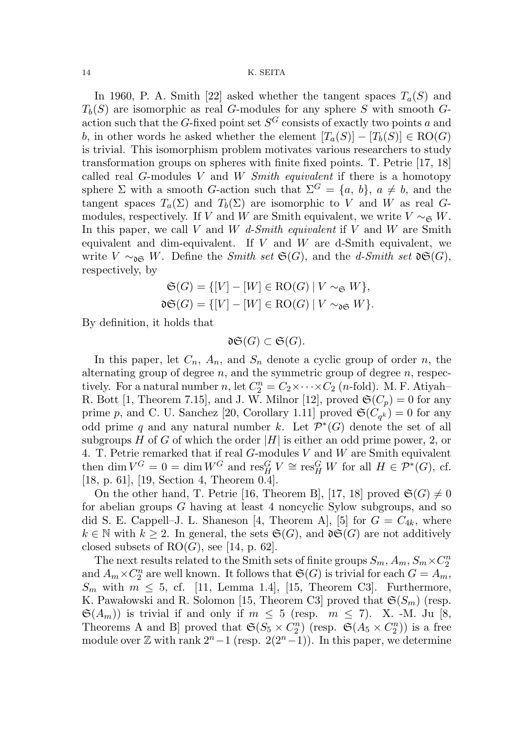In 1960, P. A. Smith [22] asked whether the tangent spaces  $T_a(S)$  and  $T<sub>b</sub>(S)$  are isomorphic as real G-modules for any sphere S with smooth Gaction such that the G-fixed point set  $S^G$  consists of exactly two points a and b, in other words he asked whether the element  $[T_a(S)] - [T_b(S)] \in RO(G)$ is trivial. This isomorphism problem motivates various researchers to study transformation groups on spheres with finite fixed points. T. Petrie [17, 18] called real  $G$ -modules  $V$  and  $W$  Smith equivalent if there is a homotopy sphere  $\Sigma$  with a smooth G-action such that  $\Sigma^G = \{a, b\}, a \neq b$ , and the tangent spaces  $T_a(\Sigma)$  and  $T_b(\Sigma)$  are isomorphic to V and W as real Gmodules, respectively. If V and W are Smith equivalent, we write  $V \sim_{\mathfrak{S}} W$ . In this paper, we call V and W d-Smith equivalent if V and W are Smith equivalent and dim-equivalent. If  $V$  and  $W$  are d-Smith equivalent, we write  $V \sim_{\mathfrak{d} \mathfrak{S}} W$ . Define the *Smith set*  $\mathfrak{S}(G)$ , and the *d-Smith set*  $\mathfrak{d} \mathfrak{S}(G)$ , respectively, by

$$
\mathfrak{S}(G) = \{ [V] - [W] \in \text{RO}(G) \mid V \sim_{\mathfrak{S}} W \},
$$
  

$$
\mathfrak{dg}(G) = \{ [V] - [W] \in \text{RO}(G) \mid V \sim_{\mathfrak{dg}} W \}.
$$

By definition, it holds that

$$
\mathfrak{dS}(G)\subset \mathfrak{S}(G).
$$

In this paper, let  $C_n$ ,  $A_n$ , and  $S_n$  denote a cyclic group of order n, the alternating group of degree  $n$ , and the symmetric group of degree  $n$ , respectively. For a natural number n, let  $C_2^n = C_2 \times \cdots \times C_2$  (n-fold). M. F. Atiyah– R. Bott [1, Theorem 7.15], and J. W. Milnor [12], proved  $\mathfrak{S}(C_p) = 0$  for any prime p, and C. U. Sanchez [20, Corollary 1.11] proved  $\mathfrak{S}(C_{q^k}) = 0$  for any odd prime q and any natural number k. Let  $\mathcal{P}^*(G)$  denote the set of all subgroups H of G of which the order  $|H|$  is either an odd prime power, 2, or 4. T. Petrie remarked that if real  $G$ -modules  $V$  and  $W$  are Smith equivalent then dim  $V^G = 0 = \dim W^G$  and  $\text{res}_{H,V}^G \cong \text{res}_{H}^G W$  for all  $H \in \mathcal{P}^*(G)$ , cf. [18, p. 61], [19, Section 4, Theorem 0.4].

On the other hand, T. Petrie [16, Theorem B], [17, 18] proved  $\mathfrak{S}(G) \neq 0$ for abelian groups G having at least 4 noncyclic Sylow subgroups, and so did S. E. Cappell–J. L. Shaneson [4, Theorem A], [5] for  $G = C_{4k}$ , where  $k \in \mathbb{N}$  with  $k \geq 2$ . In general, the sets  $\mathfrak{S}(G)$ , and  $\mathfrak{d}\mathfrak{S}(G)$  are not additively closed subsets of  $RO(G)$ , see [14, p. 62].

The next results related to the Smith sets of finite groups  $S_m$ ,  $A_m$ ,  $S_m \times C_2^n$ 2 and  $A_m \times C_2^n$  $n_2^n$  are well known. It follows that  $\mathfrak{S}(G)$  is trivial for each  $G = A_m$ ,  $S_m$  with  $m \leq 5$ , cf. [11, Lemma 1.4], [15, Theorem C3]. Furthermore, K. Pawalowski and R. Solomon [15, Theorem C3] proved that  $\mathfrak{S}(S_m)$  (resp.  $\mathfrak{S}(A_m)$  is trivial if and only if  $m \leq 5$  (resp.  $m \leq 7$ ). X. -M. Ju [8, Theorems A and B] proved that  $\mathfrak{S}(S_5 \times C_2^n)$  $\binom{n}{2}$  (resp.  $\mathfrak{S}(A_5 \times C_2^n)$  $\binom{n}{2}$ ) is a free module over  $\mathbb Z$  with rank  $2^{n}-1$  (resp.  $2(2^{n}-1)$ ). In this paper, we determine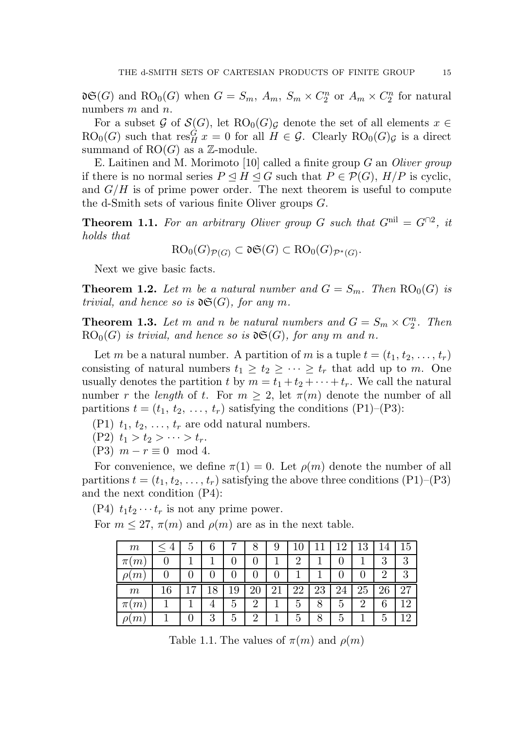$\mathfrak{dg}(G)$  and  $\mathrm{RO}_0(G)$  when  $G = S_m$ ,  $A_m$ ,  $S_m \times C_2^n$  $\binom{n}{2}$  or  $A_m \times C_2^n$  $\frac{n}{2}$  for natural numbers m and n.

For a subset G of  $\mathcal{S}(G)$ , let  $RO_0(G)_{\mathcal{G}}$  denote the set of all elements  $x \in$  $RO_0(G)$  such that  $res_H^G x = 0$  for all  $H \in \mathcal{G}$ . Clearly  $RO_0(G)_{\mathcal{G}}$  is a direct summand of  $RO(G)$  as a  $\mathbb{Z}$ -module.

E. Laitinen and M. Morimoto [10] called a finite group G an Oliver group if there is no normal series  $P \subseteq H \subseteq G$  such that  $P \in \mathcal{P}(G)$ ,  $H/P$  is cyclic, and  $G/H$  is of prime power order. The next theorem is useful to compute the d-Smith sets of various finite Oliver groups G.

**Theorem 1.1.** For an arbitrary Oliver group G such that  $G^{\text{nil}} = G^{\cap 2}$ , it holds that

$$
RO_0(G)_{\mathcal{P}(G)} \subset \mathfrak{dS}(G) \subset RO_0(G)_{\mathcal{P}^*(G)}.
$$

Next we give basic facts.

**Theorem 1.2.** Let m be a natural number and  $G = S_m$ . Then  $RO_0(G)$  is trivial, and hence so is  $\mathfrak{d} \mathfrak{S}(G)$ , for any m.

**Theorem 1.3.** Let m and n be natural numbers and  $G = S_m \times C_2^n$  $n/2$ . Then  $RO_0(G)$  is trivial, and hence so is  $\mathfrak{dG}(G)$ , for any m and n.

Let m be a natural number. A partition of m is a tuple  $t = (t_1, t_2, \ldots, t_r)$ consisting of natural numbers  $t_1 \geq t_2 \geq \cdots \geq t_r$  that add up to m. One usually denotes the partition t by  $m = t_1 + t_2 + \cdots + t_r$ . We call the natural number r the length of t. For  $m \geq 2$ , let  $\pi(m)$  denote the number of all partitions  $t = (t_1, t_2, \ldots, t_r)$  satisfying the conditions (P1)–(P3):

- (P1)  $t_1, t_2, \ldots, t_r$  are odd natural numbers.
- (P2)  $t_1 > t_2 > \cdots > t_r$ .
- $(P3)$   $m r \equiv 0 \mod 4$ .

For convenience, we define  $\pi(1) = 0$ . Let  $\rho(m)$  denote the number of all partitions  $t = (t_1, t_2, \ldots, t_r)$  satisfying the above three conditions  $(P1)$ – $(P3)$ and the next condition (P4):

(P4)  $t_1t_2 \cdots t_r$  is not any prime power.

For  $m \leq 27$ ,  $\pi(m)$  and  $\rho(m)$  are as in the next table.

| m          | $\overline{4}$ | 5              |    |              |    | 9  |                |    | 12 | 13             | 14 | 15 |
|------------|----------------|----------------|----|--------------|----|----|----------------|----|----|----------------|----|----|
| π          |                |                |    |              |    |    | $\overline{2}$ |    |    |                | 3  | 3  |
|            |                |                |    | $\mathbf{0}$ |    |    |                |    |    | $\theta$       | 2  | 3  |
| m          |                | $\overline{ }$ | 18 | 19           | 20 | 21 | 22             | 23 | 24 | 25             | 26 | 27 |
| m<br>$\pi$ |                |                |    | 5            | റ  |    | 5              | 8  | 5  | $\overline{2}$ | 6  | 12 |
|            |                |                |    |              |    |    |                |    |    |                |    |    |

Table 1.1. The values of  $\pi(m)$  and  $\rho(m)$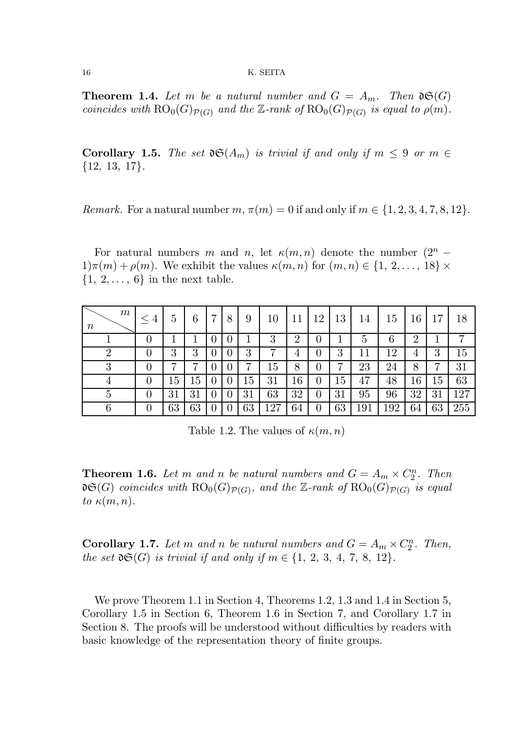**Theorem 1.4.** Let m be a natural number and  $G = A_m$ . Then  $\mathfrak{d}(\mathfrak{G})$ coincides with  $RO_0(G)_{\mathcal{P}(G)}$  and the Z-rank of  $RO_0(G)_{\mathcal{P}(G)}$  is equal to  $\rho(m)$ .

**Corollary 1.5.** The set  $\mathfrak{dS}(A_m)$  is trivial if and only if  $m \leq 9$  or  $m \in$ {12, 13, 17}.

Remark. For a natural number  $m, \pi(m) = 0$  if and only if  $m \in \{1, 2, 3, 4, 7, 8, 12\}$ .

For natural numbers m and n, let  $\kappa(m,n)$  denote the number  $(2^n 1\pi(m) + \rho(m)$ . We exhibit the values  $\kappa(m, n)$  for  $(m, n) \in \{1, 2, \ldots, 18\}$  ×  $\{1, 2, \ldots, 6\}$  in the next table.

| $m\,$<br>$\, n$ | $\overline{4}$<br>$\leq$ | $\overline{5}$ | 6      | 7 | 8        | 9      | 10  |    | 12 | 13 | 14  | 15  | 16 | $\overline{ }$ | 18  |
|-----------------|--------------------------|----------------|--------|---|----------|--------|-----|----|----|----|-----|-----|----|----------------|-----|
|                 |                          |                |        |   |          |        | 3   | ച  |    |    | 5   | 6   | റ  |                |     |
|                 |                          | 3              | 3      |   | $\theta$ | 3      |     | 4  | U  | 3  | 11  | 12  | 4  | 3              | Ŀ5  |
| ച<br>U          |                          | ┍              |        |   |          | ⇁      | 15  | 8  |    | ⇁  | 23  | 24  | 8  | ⇁              | 31  |
|                 |                          | 15             | 15     |   |          | $15\,$ | 31  | 16 |    | 4. | 47  | 48  | 16 | $15\,$         | 63  |
|                 |                          | 31             | 31     |   |          | 31     | 63  | 32 | U  | 31 | 95  | 96  | 32 | 31             | 127 |
| ເ               |                          | $63\,$         | $63\,$ |   |          | 63     | 127 | 64 |    | 63 | 191 | 192 | 64 | 63             | 255 |

Table 1.2. The values of  $\kappa(m, n)$ 

**Theorem 1.6.** Let m and n be natural numbers and  $G = A_m \times C_2^n$  $\binom{n}{2}$ . Then  $\mathfrak{dg}(G)$  coincides with  $\mathrm{RO}_{0}(G)_{\mathcal{P}(G)},$  and the Z-rank of  $\mathrm{RO}_{0}(G)_{\mathcal{P}(G)}$  is equal to  $\kappa(m,n)$ .

**Corollary 1.7.** Let m and n be natural numbers and  $G = A_m \times C_2^n$  $n/2$ . Then, the set  $\mathfrak{d}(\mathfrak{G})$  is trivial if and only if  $m \in \{1, 2, 3, 4, 7, 8, 12\}.$ 

We prove Theorem 1.1 in Section 4, Theorems 1.2, 1.3 and 1.4 in Section 5, Corollary 1.5 in Section 6, Theorem 1.6 in Section 7, and Corollary 1.7 in Section 8. The proofs will be understood without difficulties by readers with basic knowledge of the representation theory of finite groups.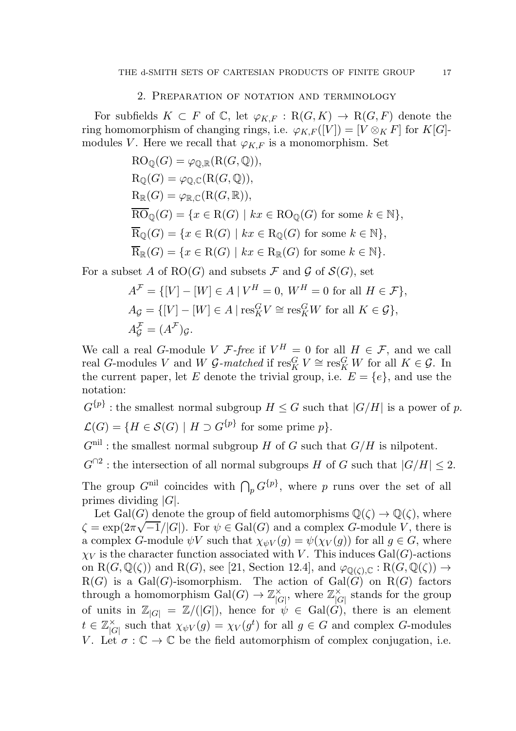### 2. Preparation of notation and terminology

For subfields  $K \subset F$  of  $\mathbb{C}$ , let  $\varphi_{K,F} : R(G,K) \to R(G,F)$  denote the ring homomorphism of changing rings, i.e.  $\varphi_{K,F}([V]) = [V \otimes_K F]$  for  $K[G]$ modules V. Here we recall that  $\varphi_{K,F}$  is a monomorphism. Set

$$
RO_{\mathbb{Q}}(G) = \varphi_{\mathbb{Q}, \mathbb{R}}(R(G, \mathbb{Q})),
$$
  
\n
$$
R_{\mathbb{Q}}(G) = \varphi_{\mathbb{Q}, \mathbb{C}}(R(G, \mathbb{Q})),
$$
  
\n
$$
R_{\mathbb{R}}(G) = \varphi_{\mathbb{R}, \mathbb{C}}(R(G, \mathbb{R})),
$$
  
\n
$$
\overline{RO}_{\mathbb{Q}}(G) = \{x \in R(G) \mid kx \in RO_{\mathbb{Q}}(G) \text{ for some } k \in \mathbb{N}\},
$$
  
\n
$$
\overline{R}_{\mathbb{Q}}(G) = \{x \in R(G) \mid kx \in R_{\mathbb{Q}}(G) \text{ for some } k \in \mathbb{N}\},
$$
  
\n
$$
\overline{R}_{\mathbb{R}}(G) = \{x \in R(G) \mid kx \in R_{\mathbb{R}}(G) \text{ for some } k \in \mathbb{N}\}.
$$

For a subset A of RO(G) and subsets F and G of  $\mathcal{S}(G)$ , set

$$
A^{\mathcal{F}} = \{ [V] - [W] \in A \mid V^H = 0, \ W^H = 0 \text{ for all } H \in \mathcal{F} \},
$$
  
\n
$$
A_{\mathcal{G}} = \{ [V] - [W] \in A \mid \text{res}_K^G V \cong \text{res}_K^G W \text{ for all } K \in \mathcal{G} \},
$$
  
\n
$$
A_{\mathcal{G}}^{\mathcal{F}} = (A^{\mathcal{F}})_{\mathcal{G}}.
$$

We call a real G-module V  $\mathcal{F}\text{-free}$  if  $V^H = 0$  for all  $H \in \mathcal{F}$ , and we call real G-modules V and W  $\mathcal{G}\text{-}matched$  if  $\text{res}_{K}^{G} V \cong \text{res}_{K}^{G} W$  for all  $K \in \mathcal{G}$ . In the current paper, let E denote the trivial group, i.e.  $E = \{e\}$ , and use the notation:

 $G^{\{p\}}$ : the smallest normal subgroup  $H \leq G$  such that  $|G/H|$  is a power of p.  $\mathcal{L}(G) = \{ H \in \mathcal{S}(G) \mid H \supset G^{\{p\}} \text{ for some prime } p \}.$ 

 $G^{\text{nil}}$ : the smallest normal subgroup H of G such that  $G/H$  is nilpotent.

 $G^{\cap 2}$ : the intersection of all normal subgroups H of G such that  $|G/H| \leq 2$ .

The group  $G^{\text{nil}}$  coincides with  $\bigcap_p G^{\{p\}}$ , where p runs over the set of all primes dividing  $|G|$ .

Let Gal(G) denote the group of field automorphisms  $\mathbb{Q}(\zeta) \to \mathbb{Q}(\zeta)$ , where  $\zeta = \exp(2\pi\sqrt{-1/|G|})$ . For  $\psi \in \text{Gal}(G)$  and a complex G-module V, there is a complex G-module  $\psi V$  such that  $\chi_{\psi V}(g) = \psi(\chi_V(g))$  for all  $g \in G$ , where  $\chi_V$  is the character function associated with V. This induces Gal(G)-actions on  $R(G, \mathbb{Q}(\zeta))$  and  $R(G)$ , see [21, Section 12.4], and  $\varphi_{\mathbb{Q}(\zeta),\mathbb{C}} : R(G, \mathbb{Q}(\zeta)) \to$  $R(G)$  is a  $Gal(G)$ -isomorphism. The action of  $Gal(G)$  on  $R(G)$  factors through a homomorphism  $Gal(G) \to \mathbb{Z}_{|C}^{\times}$  $\big|_{G}^{\times}$ , where  $\mathbb{Z}_{|G}^{\times}$  $\big|G\big|$  stands for the group of units in  $\mathbb{Z}_{|G|} = \mathbb{Z}/(|G|)$ , hence for  $\psi \in \text{Gal}(G)$ , there is an element  $t \in \mathbb{Z}_{|\mathcal{C}|}^{\times}$  $\bigcap_{|G|}^{\times}$  such that  $\chi_{\psi V}(g) = \chi_V(g^t)$  for all  $g \in G$  and complex G-modules V. Let  $\sigma : \mathbb{C} \to \mathbb{C}$  be the field automorphism of complex conjugation, i.e.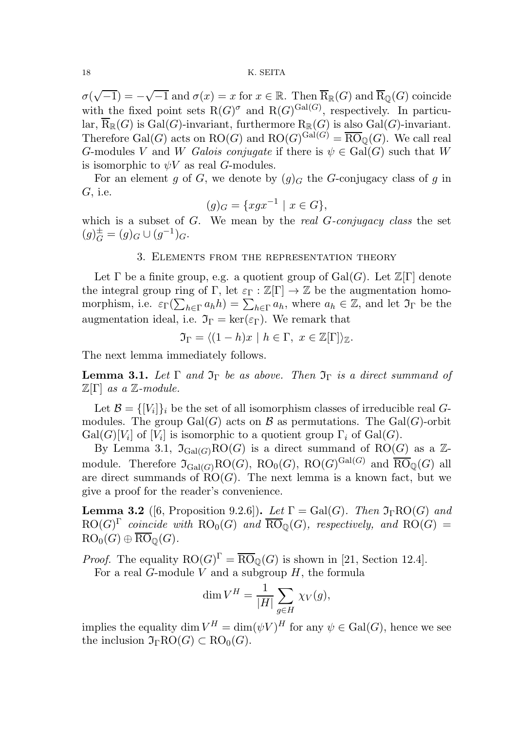$\sigma(\sqrt{-1}) = -\sqrt{-1}$  and  $\sigma(x) = x$  for  $x \in \mathbb{R}$ . Then  $\overline{R}_{\mathbb{R}}(G)$  and  $\overline{R}_{\mathbb{Q}}(G)$  coincide with the fixed point sets  $R(G)^\sigma$  and  $R(G)^{Gal(G)}$ , respectively. In particular,  $\overline{R}_{\mathbb{R}}(G)$  is Gal(G)-invariant, furthermore  $R_{\mathbb{R}}(G)$  is also Gal(G)-invariant. Therefore Gal(G) acts on RO(G) and  $RO(G)^{Gal(G)} = \overline{{\rm RO}}_{\mathbb Q}(G)$ . We call real G-modules V and W Galois conjugate if there is  $\psi \in \text{Gal}(G)$  such that W is isomorphic to  $\psi V$  as real G-modules.

For an element g of G, we denote by  $(g)_G$  the G-conjugacy class of g in G, i.e.

$$
(g)_G = \{ xgx^{-1} \mid x \in G \},\
$$

which is a subset of  $G$ . We mean by the *real G-conjugacy class* the set  $(g)_G^{\pm} = (g)_G \cup (g^{-1})_G.$ 

### 3. Elements from the representation theory

Let  $\Gamma$  be a finite group, e.g. a quotient group of  $Gal(G)$ . Let  $\mathbb{Z}[\Gamma]$  denote the integral group ring of Γ, let  $\varepsilon_{\Gamma} : \mathbb{Z}[\Gamma] \to \mathbb{Z}$  be the augmentation homomorphism, i.e.  $\varepsilon_{\Gamma}(\sum_{h\in\Gamma}a_hh)=\sum_{h\in\Gamma}a_h$ , where  $a_h\in\mathbb{Z}$ , and let  $\mathfrak{I}_{\Gamma}$  be the augmentation ideal, i.e.  $\mathfrak{I}_{\Gamma} = \ker(\varepsilon_{\Gamma})$ . We remark that

$$
\mathfrak{I}_{\Gamma} = \langle (1-h)x \mid h \in \Gamma, \ x \in \mathbb{Z}[\Gamma] \rangle_{\mathbb{Z}}.
$$

The next lemma immediately follows.

**Lemma 3.1.** Let  $\Gamma$  and  $\mathfrak{I}_{\Gamma}$  be as above. Then  $\mathfrak{I}_{\Gamma}$  is a direct summand of  $\mathbb{Z}[\Gamma]$  as a  $\mathbb{Z}\text{-module.}$ 

Let  $\mathcal{B} = \{ [V_i] \}_i$  be the set of all isomorphism classes of irreducible real  $G$ modules. The group  $Gal(G)$  acts on B as permutations. The  $Gal(G)$ -orbit  $Gal(G)[V_i]$  of  $[V_i]$  is isomorphic to a quotient group  $\Gamma_i$  of  $Gal(G)$ .

By Lemma 3.1,  $\mathfrak{I}_{Gal(G)}RO(G)$  is a direct summand of  $RO(G)$  as a  $\mathbb{Z}$ module. Therefore  $\mathfrak{I}_{Gal(G)}RO(G)$ ,  $RO_0(G)$ ,  $RO(G)^{Gal(G)}$  and  $\overline{RO}_{\mathbb{Q}}(G)$  all are direct summands of  $RO(G)$ . The next lemma is a known fact, but we give a proof for the reader's convenience.

**Lemma 3.2** ([6, Proposition 9.2.6]). Let  $\Gamma = \text{Gal}(G)$ . Then  $\mathfrak{I}_{\Gamma} \text{RO}(G)$  and  $\mathrm{RO}(G)^\Gamma$  coincide with  $\mathrm{RO}_0(G)$  and  $\overline{\mathrm{RO}}_\mathbb{Q}(G)$ , respectively, and  $\mathrm{RO}(G)$  =  $RO_0(G) \oplus \overline{RO}_0(G)$ .

*Proof.* The equality  $RO(G)^{\Gamma} = \overline{RO}_{\mathbb{Q}}(G)$  is shown in [21, Section 12.4].

For a real G-module V and a subgroup  $H$ , the formula

$$
\dim V^H = \frac{1}{|H|} \sum_{g \in H} \chi_V(g),
$$

implies the equality  $\dim V^H = \dim(\psi V)^H$  for any  $\psi \in \text{Gal}(G)$ , hence we see the inclusion  $\mathfrak{I}_{\Gamma}RO(G) \subset \text{RO}_{0}(G)$ .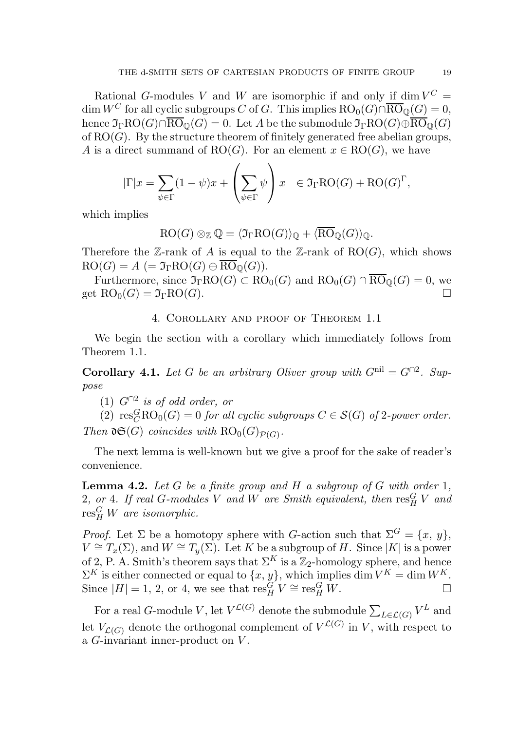Rational G-modules V and W are isomorphic if and only if  $\dim V^C =$ dim W<sup>C</sup> for all cyclic subgroups C of G. This implies  $RO_0(G) \cap \overline{RO}_\mathbb{Q}(G) = 0$ , hence  $\mathfrak{I}_{\Gamma}RO(G) \cap \overline{RO}_{\mathbb{Q}}(G) = 0$ . Let A be the submodule  $\mathfrak{I}_{\Gamma}RO(G) \oplus \overline{RO}_{\mathbb{Q}}(G)$ of  $RO(G)$ . By the structure theorem of finitely generated free abelian groups, A is a direct summand of RO(G). For an element  $x \in RO(G)$ , we have

$$
|\Gamma|x = \sum_{\psi \in \Gamma} (1 - \psi)x + \left(\sum_{\psi \in \Gamma} \psi\right)x \in \mathfrak{I}_{\Gamma}RO(G) + RO(G)^{\Gamma},
$$

which implies

 $RO(G) \otimes_{\mathbb{Z}} \mathbb{Q} = \langle \mathfrak{I}_{\Gamma}RO(G)\rangle_{\mathbb{Q}} + \langle \overline{RO}_{\mathbb{Q}}(G)\rangle_{\mathbb{Q}}.$ 

Therefore the Z-rank of A is equal to the Z-rank of  $RO(G)$ , which shows  $RO(G) = A (= \mathfrak{I}_{\Gamma}RO(G) \oplus \overline{RO}_{\mathbb{Q}}(G)).$ 

Furthermore, since  $\mathfrak{I}_{\Gamma}RO(G) \subset \text{RO}_{0}(G)$  and  $\text{RO}_{0}(G) \cap \overline{\text{RO}}_{\mathbb{Q}}(G) = 0$ , we the  $\text{RO}_{0}(G) = \mathfrak{I}_{\Gamma}RO(G)$ get  $RO_0(G) = \mathfrak{I}_{\Gamma}RO(G)$ .

4. Corollary and proof of Theorem 1.1

We begin the section with a corollary which immediately follows from Theorem 1.1.

**Corollary 4.1.** Let G be an arbitrary Oliver group with  $G^{\text{nil}} = G^{\cap 2}$ . Suppose

(1)  $G^{\cap 2}$  is of odd order, or

(2)  $\text{res}_C^G \text{RO}_0(G) = 0$  for all cyclic subgroups  $C \in \mathcal{S}(G)$  of 2-power order. Then  $\mathfrak{dG}(G)$  coincides with  $\mathrm{RO}_0(G)_{\mathcal{P}(G)}$ .

The next lemma is well-known but we give a proof for the sake of reader's convenience.

**Lemma 4.2.** Let G be a finite group and H a subgroup of G with order 1,  $2, \text{ or } 4.$  If real G-modules V and W are Smith equivalent, then  $\operatorname{res}^G_H V$  and  ${\rm res}^G_H\ W$  are isomorphic.

*Proof.* Let  $\Sigma$  be a homotopy sphere with G-action such that  $\Sigma^G = \{x, y\}$ ,  $V \cong T_x(\Sigma)$ , and  $W \cong T_y(\Sigma)$ . Let K be a subgroup of H. Since |K| is a power of 2, P. A. Smith's theorem says that  $\Sigma^K$  is a  $\mathbb{Z}_2$ -homology sphere, and hence  $\Sigma^K$  is either connected or equal to  $\{x, y\}$ , which implies dim  $V^K = \dim W^K$ . Since  $|H| = 1, 2$ , or 4, we see that  $\operatorname{res}^G_H V \cong \operatorname{res}^G_H W$ .

For a real *G*-module V, let  $V^{\mathcal{L}(G)}$  denote the submodule  $\sum_{L\in\mathcal{L}(G)}V^L$  and let  $V_{\mathcal{L}(G)}$  denote the orthogonal complement of  $V^{\mathcal{L}(G)}$  in V, with respect to a G-invariant inner-product on V .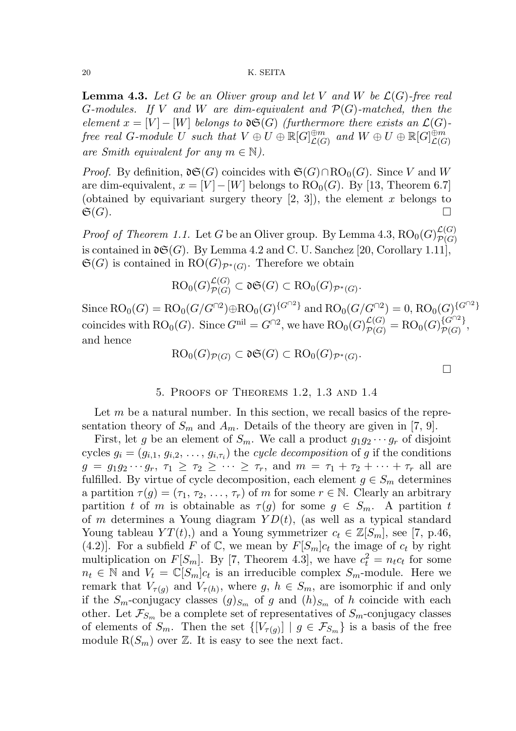**Lemma 4.3.** Let G be an Oliver group and let V and W be  $\mathcal{L}(G)$ -free real G-modules. If V and W are dim-equivalent and  $\mathcal{P}(G)$ -matched, then the element  $x = [V] - [W]$  belongs to  $\mathfrak{d} \mathfrak{S}(G)$  (furthermore there exists an  $\mathcal{L}(G)$ - $\emph{free real } G\emph{-module } U \emph{ such that } V \oplus U \oplus \mathbb{R}[G]^{ \oplus m}_{\mathcal{L}(G)}$  $\mathcal{L}(G)$  and  $W \oplus U \oplus \mathbb{R}[G]_{\mathcal{L}(G)}^{\oplus m}$  $\mathcal L(G)$ are Smith equivalent for any  $m \in \mathbb{N}$ ).

*Proof.* By definition,  $\mathfrak{d}(\mathfrak{S}(G))$  coincides with  $\mathfrak{S}(G) \cap \mathfrak{RO}_0(G)$ . Since V and W are dim-equivalent,  $x = [V] - [W]$  belongs to  $RO_0(G)$ . By [13, Theorem 6.7] (obtained by equivariant surgery theory  $[2, 3]$ ), the element x belongs to  $\mathfrak{S}(G).$ 

*Proof of Theorem 1.1.* Let G be an Oliver group. By Lemma 4.3,  $RO_0(G)_{\mathcal{P}(G)}^{\mathcal{L}(G)}$  $\mathcal{P}(G)$ is contained in  $\mathfrak{d}(\mathcal{G})$ . By Lemma 4.2 and C. U. Sanchez [20, Corollary 1.11],  $\mathfrak{S}(G)$  is contained in  $RO(G)_{\mathcal{P}^*(G)}$ . Therefore we obtain

$$
\mathrm{RO}_0(G)_{\mathcal{P}(G)}^{\mathcal{L}(G)} \subset \mathfrak{dS}(G) \subset \mathrm{RO}_0(G)_{\mathcal{P}^*(G)}.
$$

Since  $RO_0(G) = RO_0(G/G^{n^2}) \oplus RO_0(G)^{\{G^{n^2}\}}$  and  $RO_0(G/G^{n^2}) = 0$ ,  $RO_0(G)^{\{G^{n^2}\}}$ coincides with  $RO_0(G)$ . Since  $G^{\text{nil}} = G^{\cap 2}$ , we have  $RO_0(G)_{\mathcal{P}(G)}^{\mathcal{L}(G)} = RO_0(G)_{\mathcal{P}(G)}^{\{G^{\cap 2}\}}$  $\overline{\mathcal{P}(G)}^{f}$ , and hence

$$
RO_0(G)_{\mathcal{P}(G)} \subset \mathfrak{dS}(G) \subset RO_0(G)_{\mathcal{P}^*(G)}.
$$

## 5. Proofs of Theorems 1.2, 1.3 and 1.4

Let  $m$  be a natural number. In this section, we recall basics of the representation theory of  $S_m$  and  $A_m$ . Details of the theory are given in [7, 9].

First, let g be an element of  $S_m$ . We call a product  $g_1g_2\cdots g_r$  of disjoint cycles  $g_i = (g_{i,1}, g_{i,2}, \ldots, g_{i,\tau_i})$  the *cycle decomposition* of g if the conditions  $g = g_1g_2\cdots g_r$ ,  $\tau_1 \geq \tau_2 \geq \cdots \geq \tau_r$ , and  $m = \tau_1 + \tau_2 + \cdots + \tau_r$  all are fulfilled. By virtue of cycle decomposition, each element  $g \in S_m$  determines a partition  $\tau(g) = (\tau_1, \tau_2, \ldots, \tau_r)$  of m for some  $r \in \mathbb{N}$ . Clearly an arbitrary partition t of m is obtainable as  $\tau(g)$  for some  $g \in S_m$ . A partition t of m determines a Young diagram  $YD(t)$ , (as well as a typical standard Young tableau  $YT(t)$ , and a Young symmetrizer  $c_t \in \mathbb{Z}[S_m]$ , see [7, p.46, (4.2)]. For a subfield F of C, we mean by  $F[S_m]c_t$  the image of  $c_t$  by right multiplication on  $F[S_m]$ . By [7, Theorem 4.3], we have  $c_t^2 = n_t c_t$  for some  $n_t \in \mathbb{N}$  and  $V_t = \mathbb{C}[S_m]c_t$  is an irreducible complex  $S_m$ -module. Here we remark that  $V_{\tau(g)}$  and  $V_{\tau(h)}$ , where g,  $h \in S_m$ , are isomorphic if and only if the  $S_m$ -conjugacy classes  $(g)_{S_m}$  of g and  $(h)_{S_m}$  of h coincide with each other. Let  $\mathcal{F}_{S_m}$  be a complete set of representatives of  $S_m$ -conjugacy classes of elements of  $S_m$ . Then the set  $\{[V_{\tau(g)}] \mid g \in \mathcal{F}_{S_m}\}\$ is a basis of the free module  $R(S_m)$  over  $\mathbb Z$ . It is easy to see the next fact.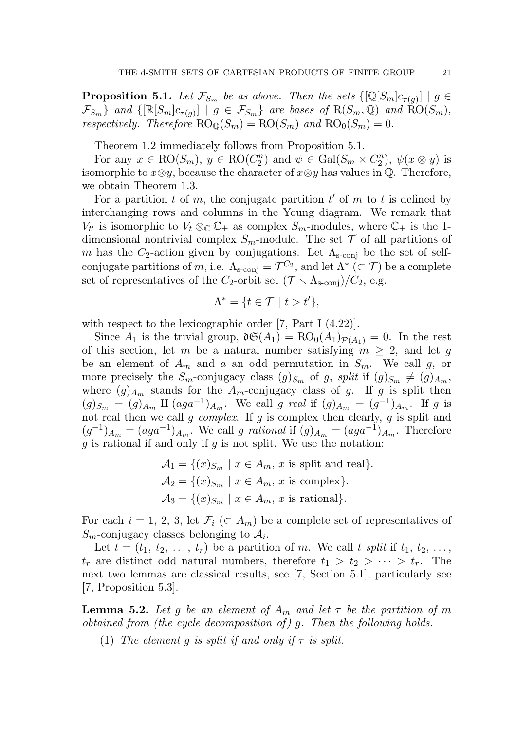**Proposition 5.1.** Let  $\mathcal{F}_{S_m}$  be as above. Then the sets  $\{[\mathbb{Q}[S_m]c_{\tau(g)}] \mid g \in$  $\{\mathcal{F}_{S_m}\}\$  and  $\{[\mathbb{R}[S_m]c_{\tau(g)}] \mid g \in \mathcal{F}_{S_m}\}\$  are bases of  $\text{R}(S_m, \mathbb{Q})$  and  $\text{RO}(S_m)$ , respectively. Therefore  $\mathrm{RO}_{\mathbb{Q}}(S_m) = \mathrm{RO}(S_m)$  and  $\mathrm{RO}_{\mathbb{Q}}(S_m) = 0$ .

Theorem 1.2 immediately follows from Proposition 5.1.

For any  $x \in \mathrm{RO}(S_m)$ ,  $y \in \mathrm{RO}(C_2^n)$  $\binom{n}{2}$  and  $\psi \in \text{Gal}(S_m \times C_2^n)$  $\psi(x \otimes y)$  is isomorphic to  $x \otimes y$ , because the character of  $x \otimes y$  has values in  $\mathbb{Q}$ . Therefore, we obtain Theorem 1.3.

For a partition  $t$  of  $m$ , the conjugate partition  $t'$  of  $m$  to  $t$  is defined by interchanging rows and columns in the Young diagram. We remark that  $V_{t'}$  is isomorphic to  $V_t \otimes_{\mathbb{C}} \mathbb{C}_\pm$  as complex  $S_m$ -modules, where  $\mathbb{C}_\pm$  is the 1dimensional nontrivial complex  $S_m$ -module. The set  $\mathcal T$  of all partitions of m has the  $C_2$ -action given by conjugations. Let  $\Lambda_{\rm s\text{-}conj}$  be the set of selfconjugate partitions of m, i.e.  $\Lambda_{\text{s-conj}} = \mathcal{T}_{\text{c}}^{C_2}$ , and let  $\Lambda^* \subset \mathcal{T}$  be a complete set of representatives of the C<sub>2</sub>-orbit set  $(\mathcal{T} \setminus \Lambda_{s\text{-coni}})/C_2$ , e.g.

$$
\Lambda^* = \{ t \in \mathcal{T} \mid t > t' \},
$$

with respect to the lexicographic order [7, Part I  $(4.22)$ ].

Since  $A_1$  is the trivial group,  $\mathfrak{d}(\mathcal{A}_1) = \text{RO}_0(A_1)_{\mathcal{P}(A_1)} = 0$ . In the rest of this section, let m be a natural number satisfying  $m \geq 2$ , and let g be an element of  $A_m$  and a an odd permutation in  $S_m$ . We call g, or more precisely the  $S_m$ -conjugacy class  $(g)_{S_m}$  of g, split if  $(g)_{S_m} \neq (g)_{A_m}$ , where  $(g)_{A_m}$  stands for the  $A_m$ -conjugacy class of g. If g is split then  $(g)_{S_m} = (g)_{A_m} \amalg (aga^{-1})_{A_m}$ . We call g real if  $(g)_{A_m} = (g^{-1})_{A_m}$ . If g is not real then we call g complex. If g is complex then clearly, g is split and  $(g^{-1})_{A_m} = (aga^{-1})_{A_m}$ . We call g rational if  $(g)_{A_m} = (aga^{-1})_{A_m}$ . Therefore q is rational if and only if q is not split. We use the notation:

$$
\mathcal{A}_1 = \{(x)_{S_m} \mid x \in A_m, x \text{ is split and real}\}.
$$

$$
\mathcal{A}_2 = \{(x)_{S_m} \mid x \in A_m, x \text{ is complex}\}.
$$

$$
\mathcal{A}_3 = \{(x)_{S_m} \mid x \in A_m, x \text{ is rational}\}.
$$

For each  $i = 1, 2, 3$ , let  $\mathcal{F}_i \subset A_m$  be a complete set of representatives of  $S_m$ -conjugacy classes belonging to  $A_i$ .

Let  $t = (t_1, t_2, \ldots, t_r)$  be a partition of m. We call t split if  $t_1, t_2, \ldots$ ,  $t_r$  are distinct odd natural numbers, therefore  $t_1 > t_2 > \cdots > t_r$ . The next two lemmas are classical results, see [7, Section 5.1], particularly see [7, Proposition 5.3].

**Lemma 5.2.** Let g be an element of  $A_m$  and let  $\tau$  be the partition of m obtained from (the cycle decomposition of) g. Then the following holds.

(1) The element q is split if and only if  $\tau$  is split.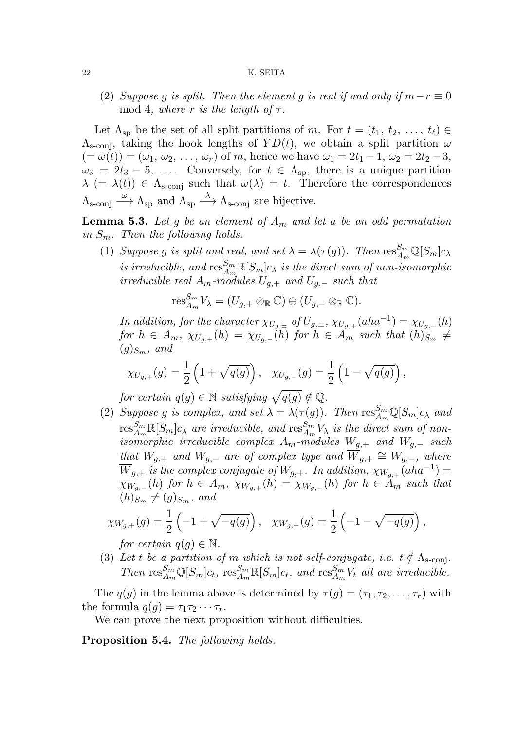(2) Suppose g is split. Then the element g is real if and only if  $m-r \equiv 0$ mod 4, where r is the length of  $\tau$ .

Let  $\Lambda_{\rm sp}$  be the set of all split partitions of m. For  $t = (t_1, t_2, \ldots, t_\ell) \in$  $\Lambda_{\rm s\text{-conj}}$ , taking the hook lengths of  $YD(t)$ , we obtain a split partition  $\omega$  $(=\omega(t))=(\omega_1,\omega_2,\ldots,\omega_r)$  of m, hence we have  $\omega_1=2t_1-1, \omega_2=2t_2-3,$  $\omega_3 = 2t_3 - 5, \ldots$  Conversely, for  $t \in \Lambda_{\rm SD}$ , there is a unique partition  $\lambda$  (=  $\lambda(t)$ )  $\in$   $\Lambda$ <sub>s-conj</sub> such that  $\omega(\lambda) = t$ . Therefore the correspondences  $\Lambda_{\text{s-conj}} \stackrel{\omega}{\longrightarrow} \Lambda_{\text{sp}}$  and  $\Lambda_{\text{sp}} \stackrel{\lambda}{\longrightarrow} \Lambda_{\text{s-conj}}$  are bijective.

**Lemma 5.3.** Let g be an element of  $A_m$  and let a be an odd permutation in  $S_m$ . Then the following holds.

(1) Suppose g is split and real, and set  $\lambda = \lambda(\tau(g))$ . Then  $\text{res}_{A_m}^{S_m} \mathbb{Q}[S_m]c_{\lambda}$  $\iota$  is irreducible, and  $\operatorname{res}^{S_m}_{A_m}\mathbb{R}[S_m]c_\lambda$  is the direct sum of non-isomorphic *irreducible real*  $A_m$ -modules  $U_{q,+}$  and  $U_{q,-}$  such that

$$
\operatorname{res}_{A_m}^{S_m} V_{\lambda} = (U_{g,+} \otimes_{\mathbb{R}} \mathbb{C}) \oplus (U_{g,-} \otimes_{\mathbb{R}} \mathbb{C}).
$$

In addition, for the character  $\chi_{U_{g,\pm}}$  of  $U_{g,\pm}$ ,  $\chi_{U_{g,+}}(aha^{-1}) = \chi_{U_{g,-}}(h)$ for  $h \in A_m$ ,  $\chi_{U_{g,+}}(h) = \chi_{U_{g,-}}(h)$  for  $h \in A_m$  such that  $(h)_{S_m}$   $\neq$  $(g)_{S_m}$ , and

$$
\chi_{U_{g,+}}(g)=\frac{1}{2}\left(1+\sqrt{q(g)}\right),\quad \chi_{U_{g,-}}(g)=\frac{1}{2}\left(1-\sqrt{q(g)}\right),
$$

for certain  $q(g) \in \mathbb{N}$  satisfying  $\sqrt{q(g)} \notin \mathbb{Q}$ .

(2) Suppose g is complex, and set  $\lambda = \lambda(\tau(g))$ . Then  $\text{res}_{A_m}^{S_m} \mathbb{Q}[S_m]_{C_\lambda}$  and  ${\rm res}_{A_m}^{S_m} \R[S_m] c_\lambda$  are irreducible, and  ${\rm res}_{A_m}^{S_m} V_\lambda$  is the direct sum of nonisomorphic irreducible complex  $A_m$ -modules  $W_{g,+}$  and  $W_{g,-}$  such that  $W_{g,+}$  and  $W_{g,-}$  are of complex type and  $W_{g,+} \cong W_{g,-}$ , where  $\overline{W}_{g,+}$  is the complex conjugate of  $W_{g,+}$ . In addition,  $\chi_{W_{g,+}}(aha^{-1}) =$  $\chi_{W_{q,-}}(h)$  for  $h \in A_m$ ,  $\chi_{W_{q,+}}(h) = \chi_{W_{q,-}}(h)$  for  $h \in \tilde{A}_m$  such that  $(h)_{S_m} \neq (g)_{S_m}$ , and

$$
\chi_{W_{g,+}}(g) = \frac{1}{2} \left( -1 + \sqrt{-q(g)} \right), \quad \chi_{W_{g,-}}(g) = \frac{1}{2} \left( -1 - \sqrt{-q(g)} \right),
$$

for certain  $q(g) \in \mathbb{N}$ .

(3) Let t be a partition of m which is not self-conjugate, i.e.  $t \notin \Lambda_{s\text{-conj}}$ . Then  $\text{res}_{A_m}^{S_m} \mathbb{Q}[S_m]c_t$ ,  $\text{res}_{A_m}^{S_m} \mathbb{R}[S_m]c_t$ , and  $\text{res}_{A_m}^{S_m} V_t$  all are irreducible.

The  $q(q)$  in the lemma above is determined by  $\tau(q) = (\tau_1, \tau_2, \ldots, \tau_r)$  with the formula  $q(q) = \tau_1 \tau_2 \cdots \tau_r$ .

We can prove the next proposition without difficulties.

Proposition 5.4. The following holds.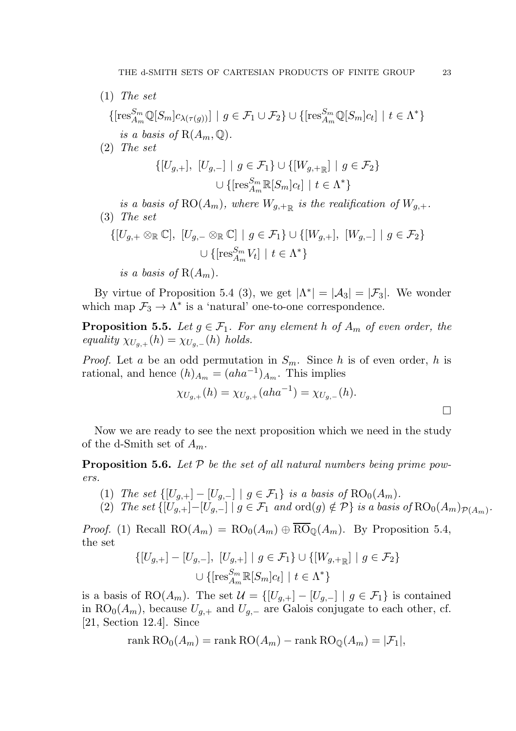- (1) The set  $\{[{\rm res}_{A_m}^{S_m} \mathbb{Q}[S_m]c_{\lambda(\tau(g))}] \mid g \in \mathcal{F}_1 \cup \mathcal{F}_2\} \cup \{[{\rm res}_{A_m}^{S_m} \mathbb{Q}[S_m]c_t] \mid t \in \Lambda^*\}$ is a basis of  $R(A_m, \mathbb{Q})$ .
- (2) The set

$$
\{[U_{g,+}], [U_{g,-}] \mid g \in \mathcal{F}_1\} \cup \{[W_{g,+_{\mathbb{R}}}] \mid g \in \mathcal{F}_2\}
$$

$$
\cup \{[{\rm res}_{A_m}^{S_m} \mathbb{R}[S_m]c_t] \mid t \in \Lambda^*\}
$$

is a basis of  $\mathrm{RO}(A_m)$ , where  $W_{g,+\mathbb{R}}$  is the realification of  $W_{g,+}$ . (3) The set

$$
\{[U_{g,+} \otimes_{\mathbb{R}} \mathbb{C}], [U_{g,-} \otimes_{\mathbb{R}} \mathbb{C}] \mid g \in \mathcal{F}_1\} \cup \{[W_{g,+}], [W_{g,-}] \mid g \in \mathcal{F}_2\}
$$
  

$$
\cup \{[{\rm res}_{A_m}^{S_m} V_t] \mid t \in \Lambda^*\}
$$

is a basis of  $R(A_m)$ .

By virtue of Proposition 5.4 (3), we get  $|\Lambda^*| = |\mathcal{A}_3| = |\mathcal{F}_3|$ . We wonder which map  $\mathcal{F}_3 \to \Lambda^*$  is a 'natural' one-to-one correspondence.

**Proposition 5.5.** Let  $g \in \mathcal{F}_1$ . For any element h of  $A_m$  of even order, the equality  $\chi_{U_{q,+}}(h) = \chi_{U_{q,-}}(h)$  holds.

*Proof.* Let a be an odd permutation in  $S_m$ . Since h is of even order, h is rational, and hence  $(h)_{A_m} = (aha^{-1})_{A_m}$ . This implies

$$
\chi_{U_{g,+}}(h) = \chi_{U_{g,+}}(aha^{-1}) = \chi_{U_{g,-}}(h).
$$

Now we are ready to see the next proposition which we need in the study of the d-Smith set of  $A_m$ .

**Proposition 5.6.** Let  $P$  be the set of all natural numbers being prime powers.

- (1) The set  $\{[U_{g,+}]-[U_{g,-}]\mid g\in \mathcal{F}_1\}$  is a basis of  $RO_0(A_m)$ .
- (2) The set  $\{[U_{g,+}]-[U_{g,-}]\mid g\in\mathcal{F}_1\ and\ \mathrm{ord}(g)\notin\mathcal{P}\}\ is\ a\ basis\ of\mathrm{RO}_0(A_m)_{\mathcal{P}(A_m)}.$

*Proof.* (1) Recall  $RO(A_m) = RO_0(A_m) \oplus \overline{RO}_0(A_m)$ . By Proposition 5.4, the set

$$
\{[U_{g,+}] - [U_{g,-}], [U_{g,+}] \mid g \in \mathcal{F}_1\} \cup \{[W_{g,+}]\mid g \in \mathcal{F}_2\}
$$
  

$$
\cup \{[{\rm res}_{A_m}^{S_m} \mathbb{R}[S_m]c_t] \mid t \in \Lambda^*\}
$$

is a basis of RO( $A_m$ ). The set  $\mathcal{U} = \{[U_{g,+}] - [U_{g,-}] \mid g \in \mathcal{F}_1\}$  is contained in RO<sub>0</sub>( $A_m$ ), because  $U_{g,+}$  and  $U_{g,-}$  are Galois conjugate to each other, cf. [21, Section 12.4]. Since

$$
rank \, RO_0(A_m) = rank \, RO(A_m) - rank \, RO_{\mathbb{Q}}(A_m) = |\mathcal{F}_1|,
$$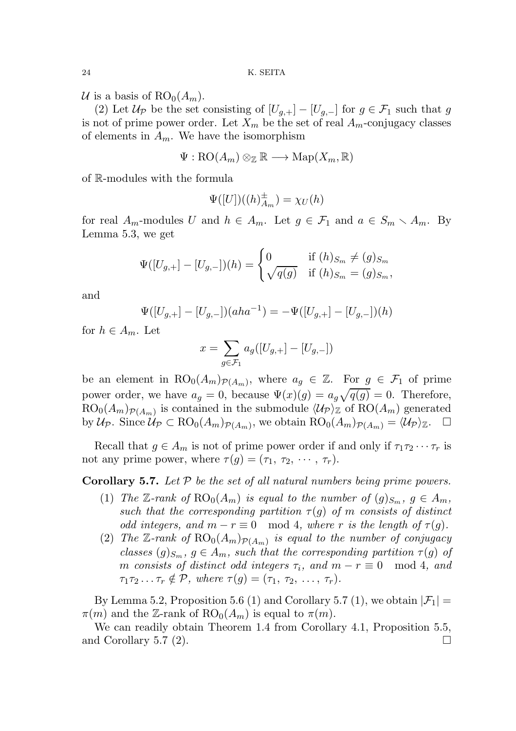U is a basis of  $RO<sub>0</sub>(A<sub>m</sub>)$ .

(2) Let  $\mathcal{U}_{\mathcal{P}}$  be the set consisting of  $[U_{q,+}] - [U_{q,-}]$  for  $g \in \mathcal{F}_1$  such that g is not of prime power order. Let  $X_m$  be the set of real  $A_m$ -conjugacy classes of elements in  $A_m$ . We have the isomorphism

$$
\Psi : \mathrm{RO}(A_m) \otimes_{\mathbb{Z}} \mathbb{R} \longrightarrow \mathrm{Map}(X_m, \mathbb{R})
$$

of R-modules with the formula

$$
\Psi([U])((h)_{A_m}^{\pm}) = \chi_U(h)
$$

for real  $A_m$ -modules U and  $h \in A_m$ . Let  $g \in \mathcal{F}_1$  and  $a \in S_m \setminus A_m$ . By Lemma 5.3, we get

$$
\Psi([U_{g,+}] - [U_{g,-}])(h) = \begin{cases} 0 & \text{if } (h)_{S_m} \neq (g)_{S_m} \\ \sqrt{q(g)} & \text{if } (h)_{S_m} = (g)_{S_m}, \end{cases}
$$

and

$$
\Psi([U_{g,+}] - [U_{g,-}])(aha^{-1}) = -\Psi([U_{g,+}] - [U_{g,-}])(h)
$$

for  $h \in A_m$ . Let

$$
x = \sum_{g \in \mathcal{F}_1} a_g([U_{g,+}] - [U_{g,-}])
$$

be an element in  $RO_0(A_m)_{\mathcal{P}(A_m)}$ , where  $a_g \in \mathbb{Z}$ . For  $g \in \mathcal{F}_1$  of prime power order, we have  $a_g = 0$ , because  $\Psi(x)(g) = a_g \sqrt{q(g)} = 0$ . Therefore,  $RO_0(A_m)_{\mathcal{P}(A_m)}$  is contained in the submodule  $\langle \mathcal{U}_{\mathcal{P}} \rangle_{\mathbb{Z}}$  of  $RO(A_m)$  generated by  $\mathcal{U}_{\mathcal{P}}$ . Since  $\mathcal{U}_{\mathcal{P}} \subset \text{RO}_0(A_m)_{\mathcal{P}(A_m)}$ , we obtain  $\text{RO}_0(A_m)_{\mathcal{P}(A_m)} = \langle \mathcal{U}_{\mathcal{P}} \rangle_{\mathbb{Z}}$ .  $\Box$ 

Recall that  $g \in A_m$  is not of prime power order if and only if  $\tau_1 \tau_2 \cdots \tau_r$  is not any prime power, where  $\tau(g) = (\tau_1, \tau_2, \cdots, \tau_r)$ .

**Corollary 5.7.** Let  $P$  be the set of all natural numbers being prime powers.

- (1) The Z-rank of  $RO_0(A_m)$  is equal to the number of  $(g)_{S_m}$ ,  $g \in A_m$ , such that the corresponding partition  $\tau(g)$  of m consists of distinct odd integers, and  $m - r \equiv 0 \mod 4$ , where r is the length of  $\tau(g)$ .
- (2) The Z-rank of  $RO_0(A_m)_{\mathcal{P}(A_m)}$  is equal to the number of conjugacy classes  $(g)_{S_m}$ ,  $g \in A_m$ , such that the corresponding partition  $\tau(g)$  of m consists of distinct odd integers  $\tau_i$ , and  $m - r \equiv 0 \mod 4$ , and  $\tau_1\tau_2\ldots\tau_r\notin\mathcal{P}, \text{ where } \tau(g)=(\tau_1, \tau_2, \ldots, \tau_r).$

By Lemma 5.2, Proposition 5.6 (1) and Corollary 5.7 (1), we obtain  $|\mathcal{F}_1|$  =  $\pi(m)$  and the Z-rank of  $RO<sub>0</sub>(A<sub>m</sub>)$  is equal to  $\pi(m)$ .

We can readily obtain Theorem 1.4 from Corollary 4.1, Proposition 5.5, and Corollary 5.7 (2).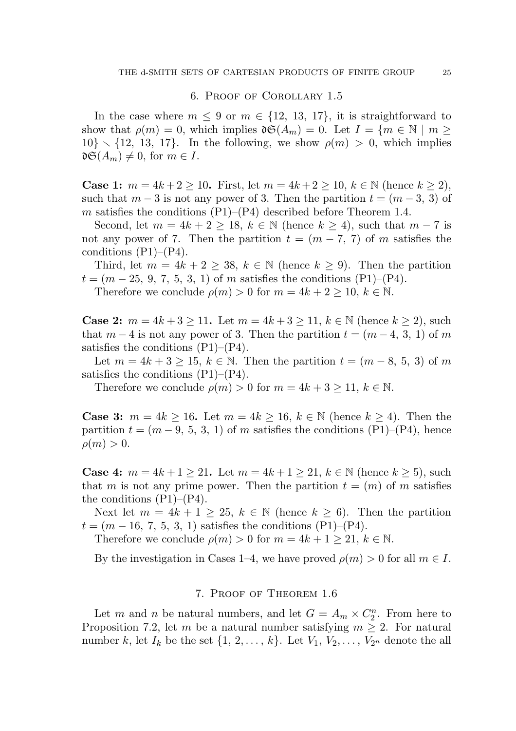### 6. Proof of Corollary 1.5

In the case where  $m \leq 9$  or  $m \in \{12, 13, 17\}$ , it is straightforward to show that  $\rho(m) = 0$ , which implies  $\mathfrak{d}(\mathcal{A}_m) = 0$ . Let  $I = \{m \in \mathbb{N} \mid m \geq 0\}$  $10\} \setminus \{12, 13, 17\}$ . In the following, we show  $\rho(m) > 0$ , which implies  $\mathfrak{d} \mathfrak{S}(A_m) \neq 0$ , for  $m \in I$ .

**Case 1:**  $m = 4k + 2 \ge 10$ . First, let  $m = 4k + 2 \ge 10$ ,  $k \in \mathbb{N}$  (hence  $k \ge 2$ ), such that  $m-3$  is not any power of 3. Then the partition  $t = (m-3, 3)$  of m satisfies the conditions  $(P1)$ – $(P4)$  described before Theorem 1.4.

Second, let  $m = 4k + 2 \ge 18$ ,  $k \in \mathbb{N}$  (hence  $k \ge 4$ ), such that  $m-7$  is not any power of 7. Then the partition  $t = (m - 7, 7)$  of m satisfies the conditions  $(P1)$ – $(P4)$ .

Third, let  $m = 4k + 2 \geq 38$ ,  $k \in \mathbb{N}$  (hence  $k \geq 9$ ). Then the partition  $t = (m-25, 9, 7, 5, 3, 1)$  of m satisfies the conditions (P1)–(P4).

Therefore we conclude  $\rho(m) > 0$  for  $m = 4k + 2 \ge 10, k \in \mathbb{N}$ .

**Case 2:**  $m = 4k + 3 \ge 11$ . Let  $m = 4k + 3 \ge 11$ ,  $k \in \mathbb{N}$  (hence  $k \ge 2$ ), such that  $m-4$  is not any power of 3. Then the partition  $t = (m-4, 3, 1)$  of m satisfies the conditions  $(P1)$ – $(P4)$ .

Let  $m = 4k + 3 \ge 15$ ,  $k \in \mathbb{N}$ . Then the partition  $t = (m-8, 5, 3)$  of m satisfies the conditions  $(P1)$ – $(P4)$ .

Therefore we conclude  $\rho(m) > 0$  for  $m = 4k + 3 \ge 11, k \in \mathbb{N}$ .

**Case 3:**  $m = 4k \ge 16$ . Let  $m = 4k \ge 16$ ,  $k \in \mathbb{N}$  (hence  $k \ge 4$ ). Then the partition  $t = (m-9, 5, 3, 1)$  of m satisfies the conditions  $(P1)$ – $(P4)$ , hence  $\rho(m) > 0.$ 

**Case 4:**  $m = 4k + 1 \ge 21$ . Let  $m = 4k + 1 \ge 21$ ,  $k \in \mathbb{N}$  (hence  $k \ge 5$ ), such that m is not any prime power. Then the partition  $t = (m)$  of m satisfies the conditions  $(P1)$ – $(P4)$ .

Next let  $m = 4k + 1 \geq 25$ ,  $k \in \mathbb{N}$  (hence  $k \geq 6$ ). Then the partition  $t = (m - 16, 7, 5, 3, 1)$  satisfies the conditions (P1)–(P4).

Therefore we conclude  $\rho(m) > 0$  for  $m = 4k + 1 > 21$ ,  $k \in \mathbb{N}$ .

By the investigation in Cases 1–4, we have proved  $\rho(m) > 0$  for all  $m \in I$ .

### 7. Proof of Theorem 1.6

Let m and n be natural numbers, and let  $G = A_m \times C_2^n$  $\frac{n}{2}$ . From here to Proposition 7.2, let m be a natural number satisfying  $m \geq 2$ . For natural number k, let  $I_k$  be the set  $\{1, 2, \ldots, k\}$ . Let  $V_1, V_2, \ldots, V_{2^n}$  denote the all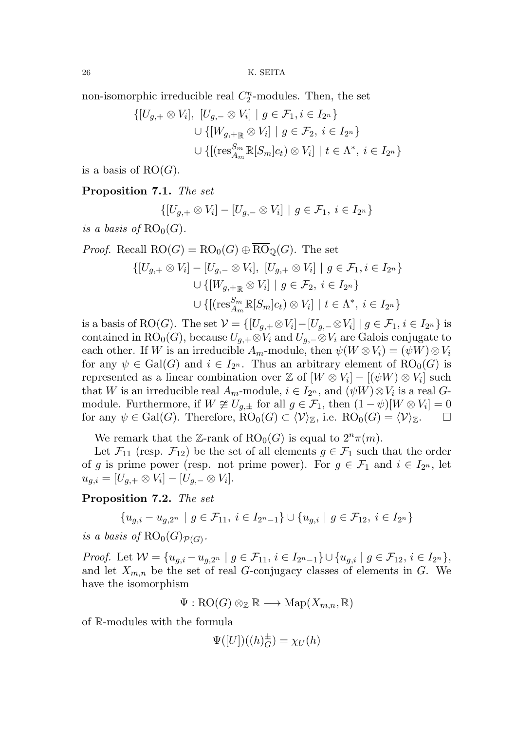non-isomorphic irreducible real  $C_2^n$  $n<sub>2</sub>$ -modules. Then, the set

$$
\{ [U_{g,+} \otimes V_i], [U_{g,-} \otimes V_i] \mid g \in \mathcal{F}_1, i \in I_{2^n} \}
$$
  

$$
\cup \{ [W_{g,+_{\mathbb{R}}} \otimes V_i] \mid g \in \mathcal{F}_2, i \in I_{2^n} \}
$$
  

$$
\cup \{ [(\text{res}_{A_m}^{S_m} \mathbb{R}[S_m]c_t) \otimes V_i] \mid t \in \Lambda^*, i \in I_{2^n} \}
$$

is a basis of  $RO(G)$ .

# Proposition 7.1. The set

$$
\{[U_{g,+}\otimes V_i]-[U_{g,-}\otimes V_i]\mid g\in\mathcal{F}_1,\ i\in I_{2^n}\}\
$$

is a basis of  $RO_0(G)$ .

Proof. Recall 
$$
RO(G) = RO_0(G) \oplus RO_{\mathbb{Q}}(G)
$$
. The set  
\n
$$
\{ [U_{g,+} \otimes V_i] - [U_{g,-} \otimes V_i], [U_{g,+} \otimes V_i] \mid g \in \mathcal{F}_1, i \in I_{2^n} \}
$$
\n
$$
\cup \{ [W_{g,+_{\mathbb{R}}} \otimes V_i] \mid g \in \mathcal{F}_2, i \in I_{2^n} \}
$$
\n
$$
\cup \{ [ \text{res}_{A_m}^{S_m} \mathbb{R}[S_m] c_t) \otimes V_i ] \mid t \in \Lambda^*, i \in I_{2^n} \}
$$

is a basis of RO(G). The set  $\mathcal{V} = \{[U_{g,+} \otimes V_i] - [U_{g,-} \otimes V_i] \mid g \in \mathcal{F}_1, i \in I_{2^n}\}$  is contained in RO<sub>0</sub>(G), because  $U_{g,+} \otimes V_i$  and  $U_{g,-} \otimes V_i$  are Galois conjugate to each other. If W is an irreducible  $A_m$ -module, then  $\psi(W \otimes V_i) = (\psi W) \otimes V_i$ for any  $\psi \in \text{Gal}(G)$  and  $i \in I_{2^n}$ . Thus an arbitrary element of  $RO_0(G)$  is represented as a linear combination over  $\mathbb{Z}$  of  $[W \otimes V_i] - [(\psi W) \otimes V_i]$  such that W is an irreducible real  $A_m$ -module,  $i \in I_{2^m}$ , and  $(\psi W) \otimes V_i$  is a real  $G$ module. Furthermore, if  $W \not\cong U_{g,\pm}$  for all  $g \in \mathcal{F}_1$ , then  $(1 - \psi)[W \otimes V_i] = 0$ for any  $\psi \in \text{Gal}(G)$ . Therefore,  $\text{RO}_0(G) \subset \langle \mathcal{V} \rangle_{\mathbb{Z}}$ , i.e.  $\text{RO}_0(G) = \langle \mathcal{V} \rangle_{\mathbb{Z}}$ .

We remark that the Z-rank of  $RO<sub>0</sub>(G)$  is equal to  $2<sup>n</sup> \pi(m)$ .

Let  $\mathcal{F}_{11}$  (resp.  $\mathcal{F}_{12}$ ) be the set of all elements  $g \in \mathcal{F}_1$  such that the order of g is prime power (resp. not prime power). For  $g \in \mathcal{F}_1$  and  $i \in I_{2^n}$ , let  $u_{g,i} = [U_{g,+} \otimes V_i] - [U_{g,-} \otimes V_i].$ 

Proposition 7.2. The set

$$
\{u_{g,i} - u_{g,2^n} \mid g \in \mathcal{F}_{11}, i \in I_{2^n-1}\} \cup \{u_{g,i} \mid g \in \mathcal{F}_{12}, i \in I_{2^n}\}\
$$

is a basis of  $RO_0(G_{\mathcal{P}(G)})$ .

Proof. Let  $W = \{u_{g,i} - u_{g,2^n} \mid g \in \mathcal{F}_{11}, i \in I_{2^n-1}\} \cup \{u_{g,i} \mid g \in \mathcal{F}_{12}, i \in I_{2^n}\},\$ and let  $X_{m,n}$  be the set of real G-conjugacy classes of elements in G. We have the isomorphism

$$
\Psi : {\rm RO}(G) \otimes_{{\mathbb Z}} {\mathbb R} \longrightarrow {\rm Map}(X_{m,n}, {\mathbb R})
$$

of R-modules with the formula

$$
\Psi([U])((h)_G^{\pm}) = \chi_U(h)
$$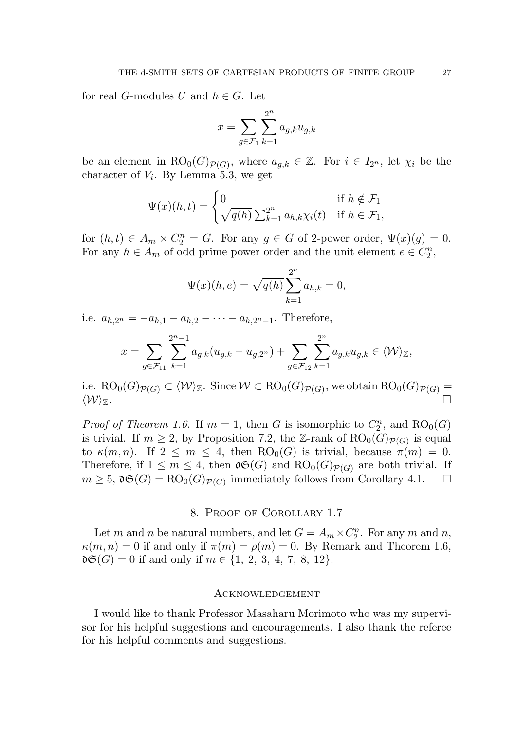for real G-modules U and  $h \in G$ . Let

$$
x = \sum_{g \in \mathcal{F}_1} \sum_{k=1}^{2^n} a_{g,k} u_{g,k}
$$

be an element in  $RO_0(G)_{\mathcal{P}(G)}$ , where  $a_{g,k} \in \mathbb{Z}$ . For  $i \in I_{2^n}$ , let  $\chi_i$  be the character of  $V_i$ . By Lemma 5.3, we get

$$
\Psi(x)(h,t) = \begin{cases} 0 & \text{if } h \notin \mathcal{F}_1 \\ \sqrt{q(h)} \sum_{k=1}^{2^n} a_{h,k} \chi_i(t) & \text{if } h \in \mathcal{F}_1, \end{cases}
$$

for  $(h, t) \in A_m \times C_2^n = G$ . For any  $g \in G$  of 2-power order,  $\Psi(x)(g) = 0$ . For any  $h \in A_m$  of odd prime power order and the unit element  $e \in C_2^n$  $\frac{n}{2}$ 

$$
\Psi(x)(h,e) = \sqrt{q(h)} \sum_{k=1}^{2^n} a_{h,k} = 0,
$$

i.e.  $a_{h,2^n} = -a_{h,1} - a_{h,2} - \cdots - a_{h,2^n-1}$ . Therefore,

$$
x = \sum_{g \in \mathcal{F}_{11}} \sum_{k=1}^{2^{n}-1} a_{g,k}(u_{g,k} - u_{g,2^{n}}) + \sum_{g \in \mathcal{F}_{12}} \sum_{k=1}^{2^{n}} a_{g,k} u_{g,k} \in \langle \mathcal{W} \rangle_{\mathbb{Z}},
$$

i.e.  ${\rm RO}_0(G)_{{\mathcal P}(G)}\subset\langle{\mathcal W}\rangle_{\mathbb Z}.$  Since  ${\mathcal W}\subset{\rm RO}_0(G)_{{\mathcal P}(G)},$  we obtain  ${\rm RO}_0(G)_{{\mathcal P}(G)}=$  $\langle \mathcal{W} \rangle_{\mathbb{Z}}$ .

*Proof of Theorem 1.6.* If  $m = 1$ , then G is isomorphic to  $C_2^n$  $_{2}^{m}$ , and  $\mathrm{RO}_{0}(G)$ is trivial. If  $m \ge 2$ , by Proposition 7.2, the Z-rank of  $RO_0(G)_{\mathcal{P}(G)}$  is equal to  $\kappa(m, n)$ . If  $2 \leq m \leq 4$ , then  $\mathrm{RO}_0(G)$  is trivial, because  $\pi(m) = 0$ . Therefore, if  $1 \leq m \leq 4$ , then  $\mathfrak{d}(\mathcal{G})$  and  $\text{RO}_0(G)_{\mathcal{P}(G)}$  are both trivial. If  $m \geq 5$ ,  $\mathfrak{d} \mathfrak{S}(G) = \text{RO}_0(G)_{\mathcal{P}(G)}$  immediately follows from Corollary 4.1.  $\Box$ 

## 8. Proof of Corollary 1.7

Let m and n be natural numbers, and let  $G = A_m \times C_2^n$  $n_2^n$ . For any m and n,  $\kappa(m, n) = 0$  if and only if  $\pi(m) = \rho(m) = 0$ . By Remark and Theorem 1.6,  $\mathfrak{dg}(G) = 0$  if and only if  $m \in \{1, 2, 3, 4, 7, 8, 12\}.$ 

### Acknowledgement

I would like to thank Professor Masaharu Morimoto who was my supervisor for his helpful suggestions and encouragements. I also thank the referee for his helpful comments and suggestions.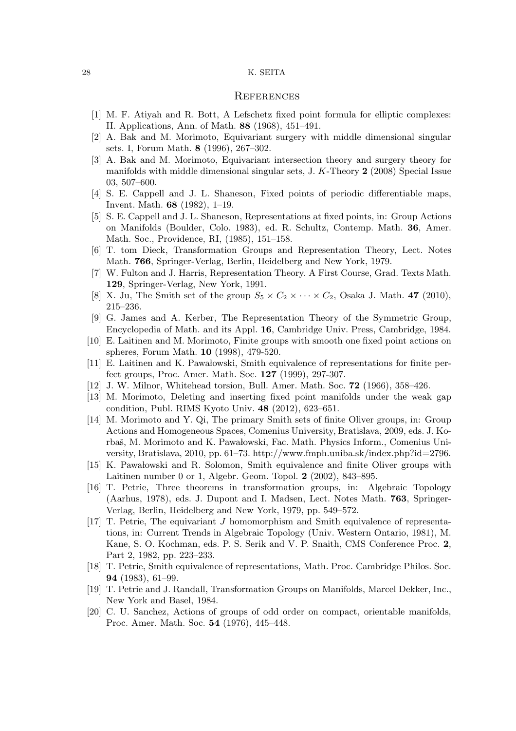#### **REFERENCES**

- [1] M. F. Atiyah and R. Bott, A Lefschetz fixed point formula for elliptic complexes: II. Applications, Ann. of Math. 88 (1968), 451–491.
- [2] A. Bak and M. Morimoto, Equivariant surgery with middle dimensional singular sets. I, Forum Math. 8 (1996), 267–302.
- [3] A. Bak and M. Morimoto, Equivariant intersection theory and surgery theory for manifolds with middle dimensional singular sets, J. K-Theory 2 (2008) Special Issue 03, 507–600.
- [4] S. E. Cappell and J. L. Shaneson, Fixed points of periodic differentiable maps, Invent. Math. 68 (1982), 1–19.
- [5] S. E. Cappell and J. L. Shaneson, Representations at fixed points, in: Group Actions on Manifolds (Boulder, Colo. 1983), ed. R. Schultz, Contemp. Math. 36, Amer. Math. Soc., Providence, RI, (1985), 151–158.
- [6] T. tom Dieck, Transformation Groups and Representation Theory, Lect. Notes Math. 766, Springer-Verlag, Berlin, Heidelberg and New York, 1979.
- [7] W. Fulton and J. Harris, Representation Theory. A First Course, Grad. Texts Math. 129, Springer-Verlag, New York, 1991.
- [8] X. Ju, The Smith set of the group  $S_5 \times C_2 \times \cdots \times C_2$ , Osaka J. Math. 47 (2010), 215–236.
- [9] G. James and A. Kerber, The Representation Theory of the Symmetric Group, Encyclopedia of Math. and its Appl. 16, Cambridge Univ. Press, Cambridge, 1984.
- [10] E. Laitinen and M. Morimoto, Finite groups with smooth one fixed point actions on spheres, Forum Math. 10 (1998), 479-520.
- [11] E. Laitinen and K. Pawalowski, Smith equivalence of representations for finite perfect groups, Proc. Amer. Math. Soc. 127 (1999), 297-307.
- [12] J. W. Milnor, Whitehead torsion, Bull. Amer. Math. Soc. 72 (1966), 358–426.
- [13] M. Morimoto, Deleting and inserting fixed point manifolds under the weak gap condition, Publ. RIMS Kyoto Univ. 48 (2012), 623–651.
- [14] M. Morimoto and Y. Qi, The primary Smith sets of finite Oliver groups, in: Group Actions and Homogeneous Spaces, Comenius University, Bratislava, 2009, eds. J. Korbaš, M. Morimoto and K. Pawalowski, Fac. Math. Physics Inform., Comenius University, Bratislava, 2010, pp. 61–73. http://www.fmph.uniba.sk/index.php?id=2796.
- [15] K. Pawalowski and R. Solomon, Smith equivalence and finite Oliver groups with Laitinen number 0 or 1, Algebr. Geom. Topol. 2 (2002), 843–895.
- [16] T. Petrie, Three theorems in transformation groups, in: Algebraic Topology (Aarhus, 1978), eds. J. Dupont and I. Madsen, Lect. Notes Math. 763, Springer-Verlag, Berlin, Heidelberg and New York, 1979, pp. 549–572.
- [17] T. Petrie, The equivariant J homomorphism and Smith equivalence of representations, in: Current Trends in Algebraic Topology (Univ. Western Ontario, 1981), M. Kane, S. O. Kochman, eds. P. S. Serik and V. P. Snaith, CMS Conference Proc. 2, Part 2, 1982, pp. 223–233.
- [18] T. Petrie, Smith equivalence of representations, Math. Proc. Cambridge Philos. Soc. 94 (1983), 61–99.
- [19] T. Petrie and J. Randall, Transformation Groups on Manifolds, Marcel Dekker, Inc., New York and Basel, 1984.
- [20] C. U. Sanchez, Actions of groups of odd order on compact, orientable manifolds, Proc. Amer. Math. Soc. 54 (1976), 445–448.